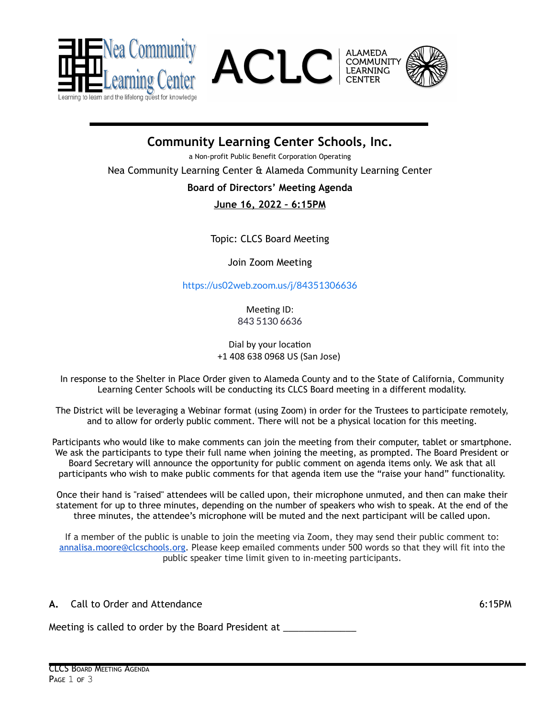





**Community Learning Center Schools, Inc.**

a Non-profit Public Benefit Corporation Operating

Nea Community Learning Center & Alameda Community Learning Center

### **Board of Directors' Meeting Agenda**

**June 16, 2022 – 6:15PM**

Topic: CLCS Board Meeting

Join Zoom Meeting

<https://us02web.zoom.us/j/84351306636>

Meeting ID: 843 5130 6636

#### Dial by your location +1 408 638 0968 US (San Jose)

In response to the Shelter in Place Order given to Alameda County and to the State of California, Community Learning Center Schools will be conducting its CLCS Board meeting in a different modality.

The District will be leveraging a Webinar format (using Zoom) in order for the Trustees to participate remotely, and to allow for orderly public comment. There will not be a physical location for this meeting.

Participants who would like to make comments can join the meeting from their computer, tablet or smartphone. We ask the participants to type their full name when joining the meeting, as prompted. The Board President or Board Secretary will announce the opportunity for public comment on agenda items only. We ask that all participants who wish to make public comments for that agenda item use the "raise your hand" functionality.

Once their hand is "raised" attendees will be called upon, their microphone unmuted, and then can make their statement for up to three minutes, depending on the number of speakers who wish to speak. At the end of the three minutes, the attendee's microphone will be muted and the next participant will be called upon.

If a member of the public is unable to join the meeting via Zoom, they may send their public comment to: [annalisa.moore@clcschools.org.](mailto:annalisa.moore@clcschools.org) Please keep emailed comments under 500 words so that they will fit into the public speaker time limit given to in-meeting participants.

**A.** Call to Order and Attendance 6:15PM

Meeting is called to order by the Board President at \_\_\_\_\_\_\_\_\_\_\_\_\_\_\_\_\_\_\_\_\_\_\_\_\_\_\_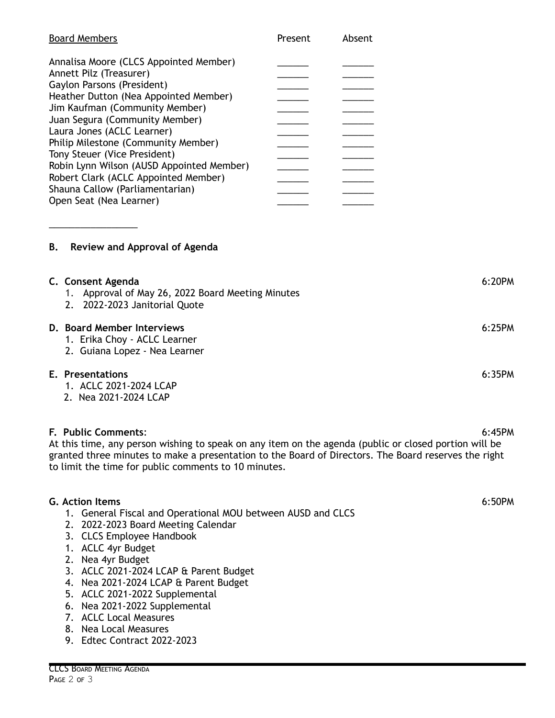| <b>Board Members</b>                      | Present | Absent |
|-------------------------------------------|---------|--------|
| Annalisa Moore (CLCS Appointed Member)    |         |        |
| Annett Pilz (Treasurer)                   |         |        |
| Gaylon Parsons (President)                |         |        |
| Heather Dutton (Nea Appointed Member)     |         |        |
| Jim Kaufman (Community Member)            |         |        |
| Juan Segura (Community Member)            |         |        |
| Laura Jones (ACLC Learner)                |         |        |
| Philip Milestone (Community Member)       |         |        |
| Tony Steuer (Vice President)              |         |        |
| Robin Lynn Wilson (AUSD Appointed Member) |         |        |
| Robert Clark (ACLC Appointed Member)      |         |        |
| Shauna Callow (Parliamentarian)           |         |        |
| Open Seat (Nea Learner)                   |         |        |
|                                           |         |        |

# **B. Review and Approval of Agenda**

\_\_\_\_\_\_\_\_\_\_\_\_\_\_\_\_\_

| C. Consent Agenda<br>1. Approval of May 26, 2022 Board Meeting Minutes<br>2. 2022-2023 Janitorial Quote | 6:20PM |
|---------------------------------------------------------------------------------------------------------|--------|
| D. Board Member Interviews<br>1. Erika Choy - ACLC Learner<br>2. Guiana Lopez - Nea Learner             | 6:25PM |
| E. Presentations<br>1. ACLC 2021-2024 LCAP                                                              | 6:35PM |

2. Nea 2021-2024 LCAP

# **F. Public Comments**: 6:45PM

At this time, any person wishing to speak on any item on the agenda (public or closed portion will be granted three minutes to make a presentation to the Board of Directors. The Board reserves the right to limit the time for public comments to 10 minutes.

#### **G. Action Items** 6:50PM

- 1. General Fiscal and Operational MOU between AUSD and CLCS
- 2. 2022-2023 Board Meeting Calendar
- 3. CLCS Employee Handbook
- 1. ACLC 4yr Budget
- 2. Nea 4yr Budget
- 3. ACLC 2021-2024 LCAP & Parent Budget
- 4. Nea 2021-2024 LCAP & Parent Budget
- 5. ACLC 2021-2022 Supplemental
- 6. Nea 2021-2022 Supplemental
- 7. ACLC Local Measures
- 8. Nea Local Measures
- 9. Edtec Contract 2022-2023